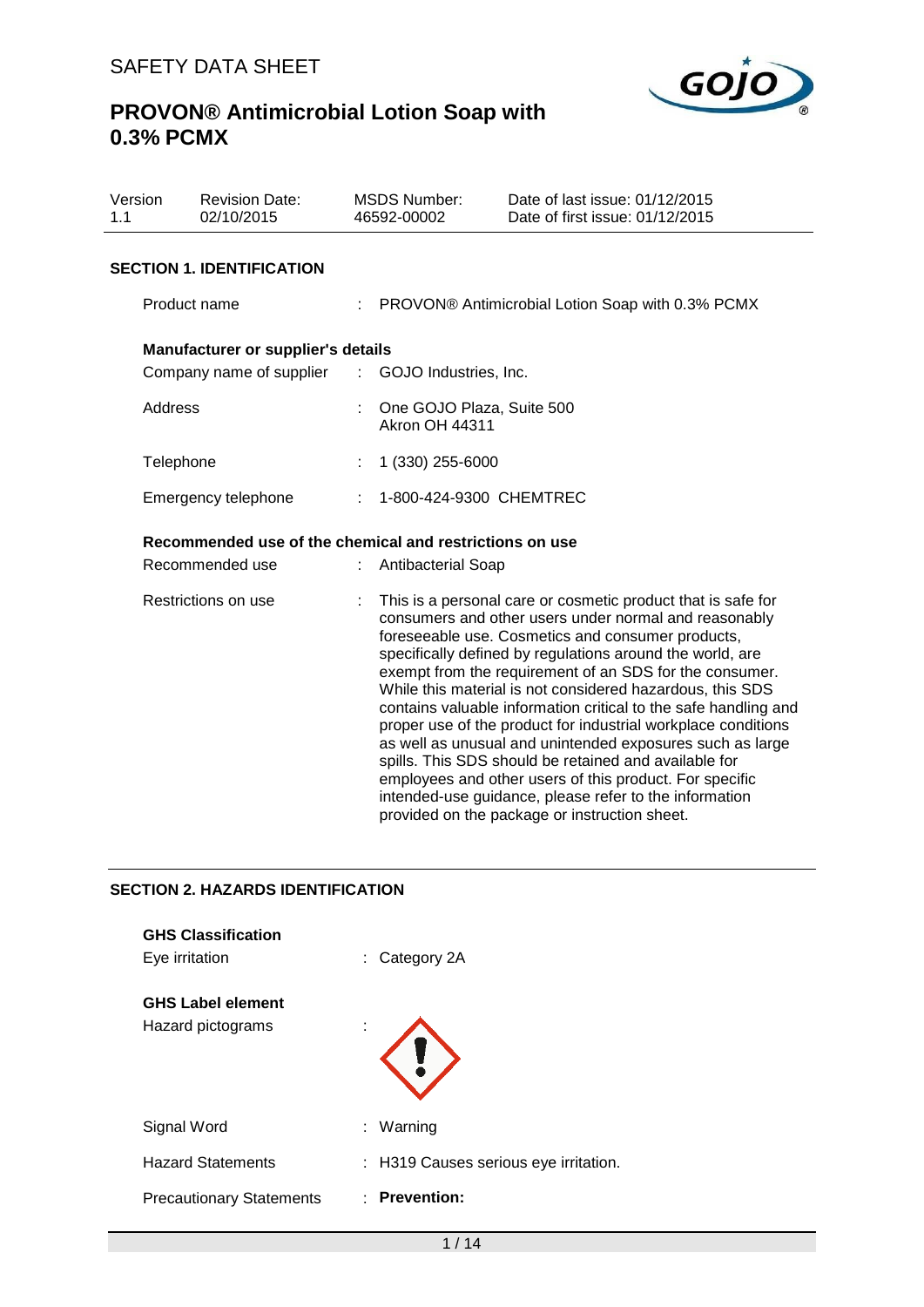

| Version<br>1.1 | <b>Revision Date:</b><br>02/10/2015                     |  | <b>MSDS Number:</b><br>46592-00002                                                                                                                                                                                                                                                                                                                                                                                                                                                                                                                                                                                                                                                                                                                                                              | Date of last issue: 01/12/2015<br>Date of first issue: 01/12/2015 |  |  |  |  |
|----------------|---------------------------------------------------------|--|-------------------------------------------------------------------------------------------------------------------------------------------------------------------------------------------------------------------------------------------------------------------------------------------------------------------------------------------------------------------------------------------------------------------------------------------------------------------------------------------------------------------------------------------------------------------------------------------------------------------------------------------------------------------------------------------------------------------------------------------------------------------------------------------------|-------------------------------------------------------------------|--|--|--|--|
|                | <b>SECTION 1. IDENTIFICATION</b>                        |  |                                                                                                                                                                                                                                                                                                                                                                                                                                                                                                                                                                                                                                                                                                                                                                                                 |                                                                   |  |  |  |  |
|                | Product name                                            |  | : PROVON® Antimicrobial Lotion Soap with 0.3% PCMX                                                                                                                                                                                                                                                                                                                                                                                                                                                                                                                                                                                                                                                                                                                                              |                                                                   |  |  |  |  |
|                | Manufacturer or supplier's details                      |  |                                                                                                                                                                                                                                                                                                                                                                                                                                                                                                                                                                                                                                                                                                                                                                                                 |                                                                   |  |  |  |  |
|                | Company name of supplier                                |  | : GOJO Industries, Inc.                                                                                                                                                                                                                                                                                                                                                                                                                                                                                                                                                                                                                                                                                                                                                                         |                                                                   |  |  |  |  |
| Address        |                                                         |  | One GOJO Plaza, Suite 500<br><b>Akron OH 44311</b>                                                                                                                                                                                                                                                                                                                                                                                                                                                                                                                                                                                                                                                                                                                                              |                                                                   |  |  |  |  |
|                | Telephone                                               |  | 1 (330) 255-6000                                                                                                                                                                                                                                                                                                                                                                                                                                                                                                                                                                                                                                                                                                                                                                                |                                                                   |  |  |  |  |
|                | Emergency telephone                                     |  | 1-800-424-9300 CHEMTREC                                                                                                                                                                                                                                                                                                                                                                                                                                                                                                                                                                                                                                                                                                                                                                         |                                                                   |  |  |  |  |
|                | Recommended use of the chemical and restrictions on use |  |                                                                                                                                                                                                                                                                                                                                                                                                                                                                                                                                                                                                                                                                                                                                                                                                 |                                                                   |  |  |  |  |
|                | Recommended use                                         |  | <b>Antibacterial Soap</b>                                                                                                                                                                                                                                                                                                                                                                                                                                                                                                                                                                                                                                                                                                                                                                       |                                                                   |  |  |  |  |
|                | Restrictions on use                                     |  | This is a personal care or cosmetic product that is safe for<br>consumers and other users under normal and reasonably<br>foreseeable use. Cosmetics and consumer products,<br>specifically defined by regulations around the world, are<br>exempt from the requirement of an SDS for the consumer.<br>While this material is not considered hazardous, this SDS<br>contains valuable information critical to the safe handling and<br>proper use of the product for industrial workplace conditions<br>as well as unusual and unintended exposures such as large<br>spills. This SDS should be retained and available for<br>employees and other users of this product. For specific<br>intended-use guidance, please refer to the information<br>provided on the package or instruction sheet. |                                                                   |  |  |  |  |

## **SECTION 2. HAZARDS IDENTIFICATION**

| <b>GHS Classification</b><br>Eye irritation   |   | $:$ Category 2A                       |
|-----------------------------------------------|---|---------------------------------------|
| <b>GHS Label element</b><br>Hazard pictograms | ٠ |                                       |
| Signal Word                                   |   | : Warning                             |
| <b>Hazard Statements</b>                      |   | : H319 Causes serious eye irritation. |
| <b>Precautionary Statements</b>               |   | $:$ Prevention:                       |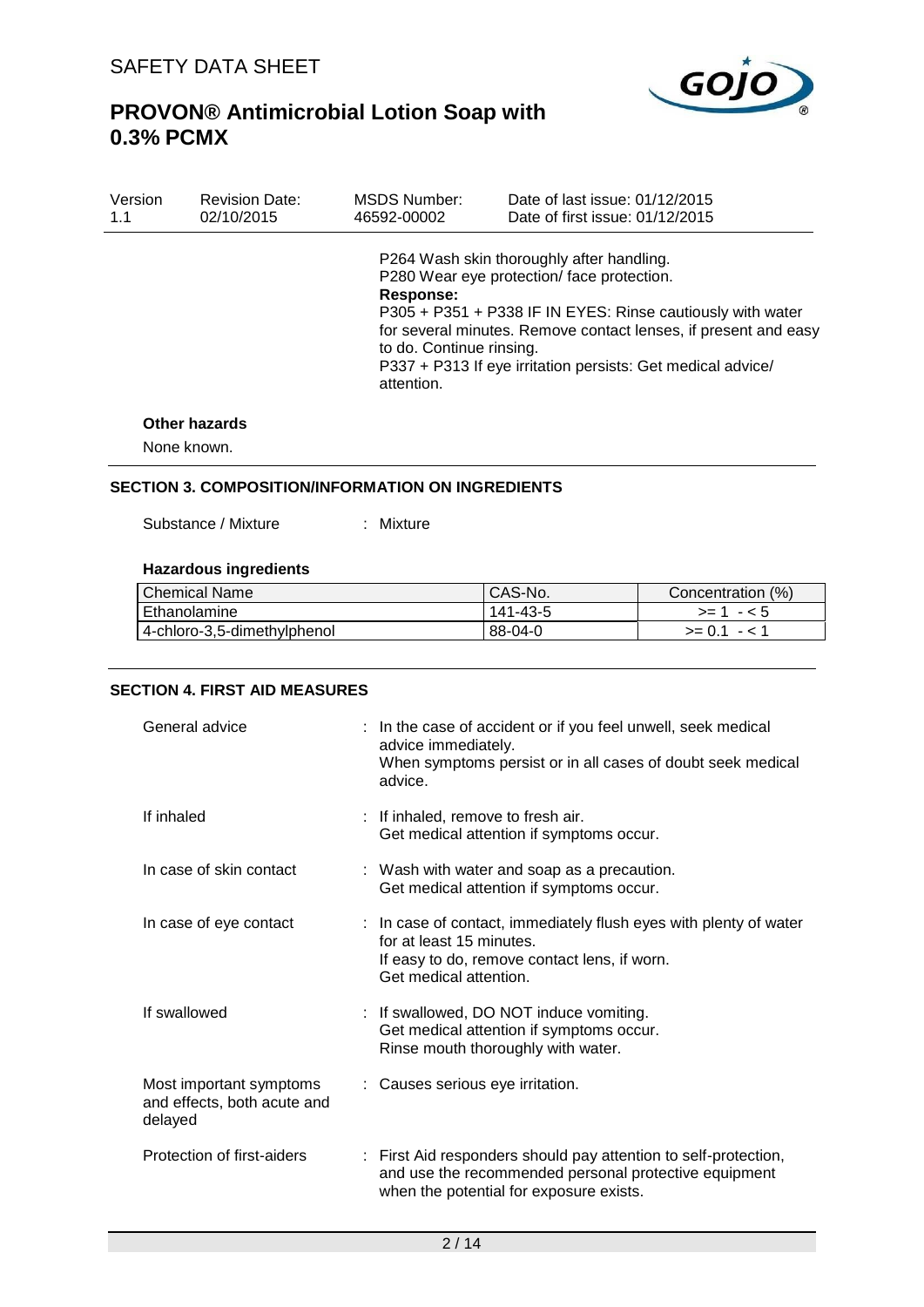

| Version | <b>Revision Date:</b> | MSDS Number:                                        | Date of last issue: 01/12/2015                                                                                                                                                                                                                                                         |
|---------|-----------------------|-----------------------------------------------------|----------------------------------------------------------------------------------------------------------------------------------------------------------------------------------------------------------------------------------------------------------------------------------------|
| 1.1     | 02/10/2015            | 46592-00002                                         | Date of first issue: 01/12/2015                                                                                                                                                                                                                                                        |
|         |                       | Response:<br>to do. Continue rinsing.<br>attention. | P264 Wash skin thoroughly after handling.<br>P280 Wear eye protection/face protection.<br>P305 + P351 + P338 IF IN EYES: Rinse cautiously with water<br>for several minutes. Remove contact lenses, if present and easy<br>P337 + P313 If eye irritation persists: Get medical advice/ |

#### **Other hazards**

None known.

## **SECTION 3. COMPOSITION/INFORMATION ON INGREDIENTS**

Substance / Mixture : Mixture

#### **Hazardous ingredients**

| <b>Chemical Name</b>        | CAS-No.  | Concentration (%) |
|-----------------------------|----------|-------------------|
| <b>Ethanolamine</b>         | 141-43-5 | $> = 1 - 5$       |
| 4-chloro-3,5-dimethylphenol | 88-04-0  | $>= 0.1 - 1.1$    |

## **SECTION 4. FIRST AID MEASURES**

| General advice                                                    | : In the case of accident or if you feel unwell, seek medical<br>advice immediately.<br>When symptoms persist or in all cases of doubt seek medical<br>advice.          |
|-------------------------------------------------------------------|-------------------------------------------------------------------------------------------------------------------------------------------------------------------------|
| If inhaled                                                        | : If inhaled, remove to fresh air.<br>Get medical attention if symptoms occur.                                                                                          |
| In case of skin contact                                           | : Wash with water and soap as a precaution.<br>Get medical attention if symptoms occur.                                                                                 |
| In case of eye contact                                            | : In case of contact, immediately flush eyes with plenty of water<br>for at least 15 minutes.<br>If easy to do, remove contact lens, if worn.<br>Get medical attention. |
| If swallowed                                                      | : If swallowed, DO NOT induce vomiting.<br>Get medical attention if symptoms occur.<br>Rinse mouth thoroughly with water.                                               |
| Most important symptoms<br>and effects, both acute and<br>delayed | : Causes serious eye irritation.                                                                                                                                        |
| Protection of first-aiders                                        | : First Aid responders should pay attention to self-protection,<br>and use the recommended personal protective equipment<br>when the potential for exposure exists.     |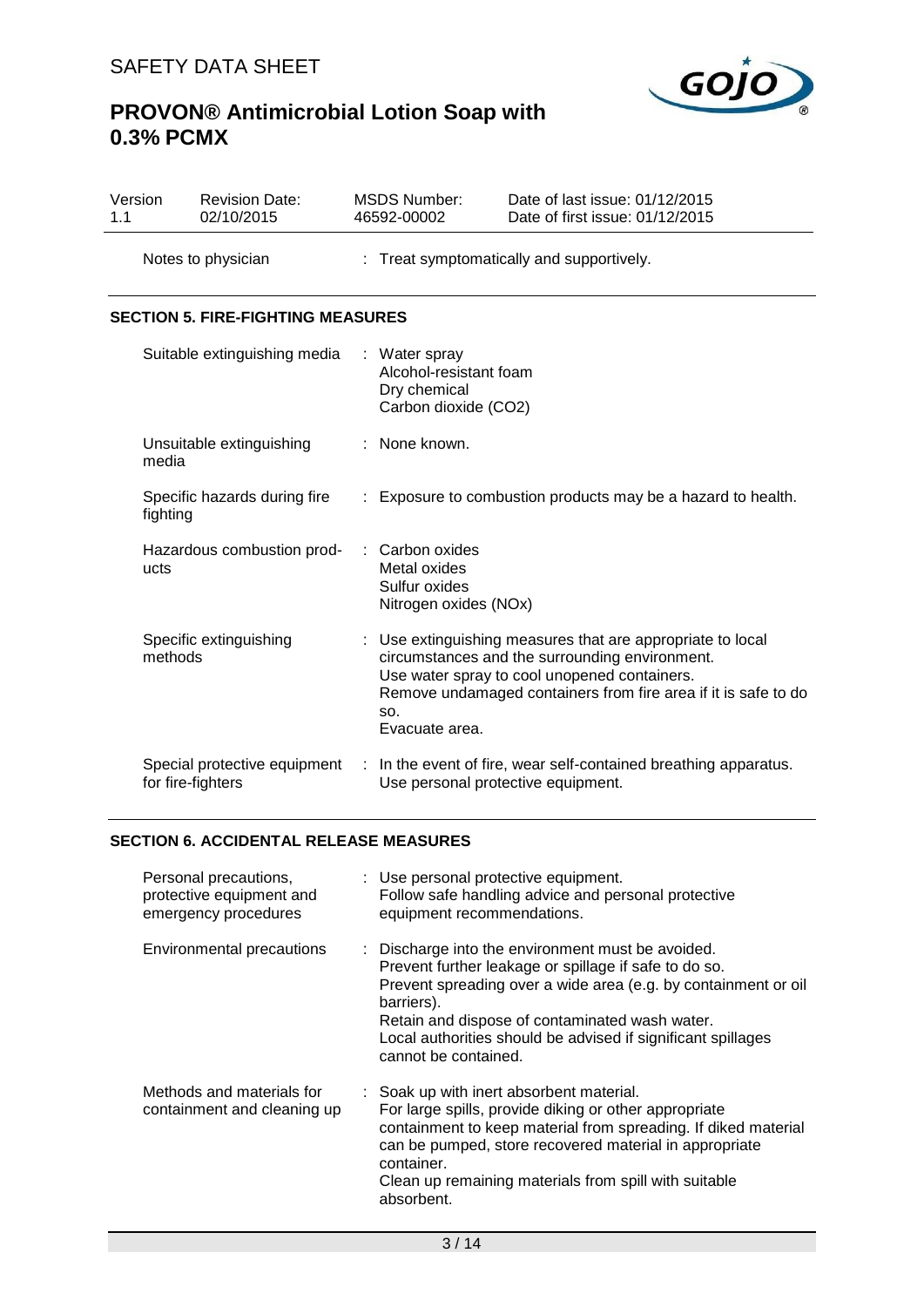

| Version<br>1.1 | <b>Revision Date:</b><br>02/10/2015               |             | <b>MSDS Number:</b><br>46592-00002                                              | Date of last issue: 01/12/2015<br>Date of first issue: 01/12/2015                                                                                                                                                            |  |  |
|----------------|---------------------------------------------------|-------------|---------------------------------------------------------------------------------|------------------------------------------------------------------------------------------------------------------------------------------------------------------------------------------------------------------------------|--|--|
|                | Notes to physician                                |             | : Treat symptomatically and supportively.                                       |                                                                                                                                                                                                                              |  |  |
|                | <b>SECTION 5. FIRE-FIGHTING MEASURES</b>          |             |                                                                                 |                                                                                                                                                                                                                              |  |  |
|                | Suitable extinguishing media                      |             | : Water spray<br>Alcohol-resistant foam<br>Dry chemical<br>Carbon dioxide (CO2) |                                                                                                                                                                                                                              |  |  |
|                | Unsuitable extinguishing<br>media                 | None known. |                                                                                 |                                                                                                                                                                                                                              |  |  |
|                | Specific hazards during fire<br>fighting          | ÷.          |                                                                                 | Exposure to combustion products may be a hazard to health.                                                                                                                                                                   |  |  |
|                | Hazardous combustion prod-<br>ucts                |             | Carbon oxides<br>Metal oxides<br>Sulfur oxides<br>Nitrogen oxides (NOx)         |                                                                                                                                                                                                                              |  |  |
|                | Specific extinguishing<br>methods                 |             | SO.<br>Evacuate area.                                                           | Use extinguishing measures that are appropriate to local<br>circumstances and the surrounding environment.<br>Use water spray to cool unopened containers.<br>Remove undamaged containers from fire area if it is safe to do |  |  |
|                | Special protective equipment<br>for fire-fighters | ÷           | Use personal protective equipment.                                              | In the event of fire, wear self-contained breathing apparatus.                                                                                                                                                               |  |  |

### **SECTION 6. ACCIDENTAL RELEASE MEASURES**

| Personal precautions,<br>protective equipment and<br>emergency procedures | : Use personal protective equipment.<br>Follow safe handling advice and personal protective<br>equipment recommendations.                                                                                                                                                                                                            |
|---------------------------------------------------------------------------|--------------------------------------------------------------------------------------------------------------------------------------------------------------------------------------------------------------------------------------------------------------------------------------------------------------------------------------|
| <b>Environmental precautions</b>                                          | : Discharge into the environment must be avoided.<br>Prevent further leakage or spillage if safe to do so.<br>Prevent spreading over a wide area (e.g. by containment or oil<br>barriers).<br>Retain and dispose of contaminated wash water.<br>Local authorities should be advised if significant spillages<br>cannot be contained. |
| Methods and materials for<br>containment and cleaning up                  | : Soak up with inert absorbent material.<br>For large spills, provide diking or other appropriate<br>containment to keep material from spreading. If diked material<br>can be pumped, store recovered material in appropriate<br>container.<br>Clean up remaining materials from spill with suitable<br>absorbent.                   |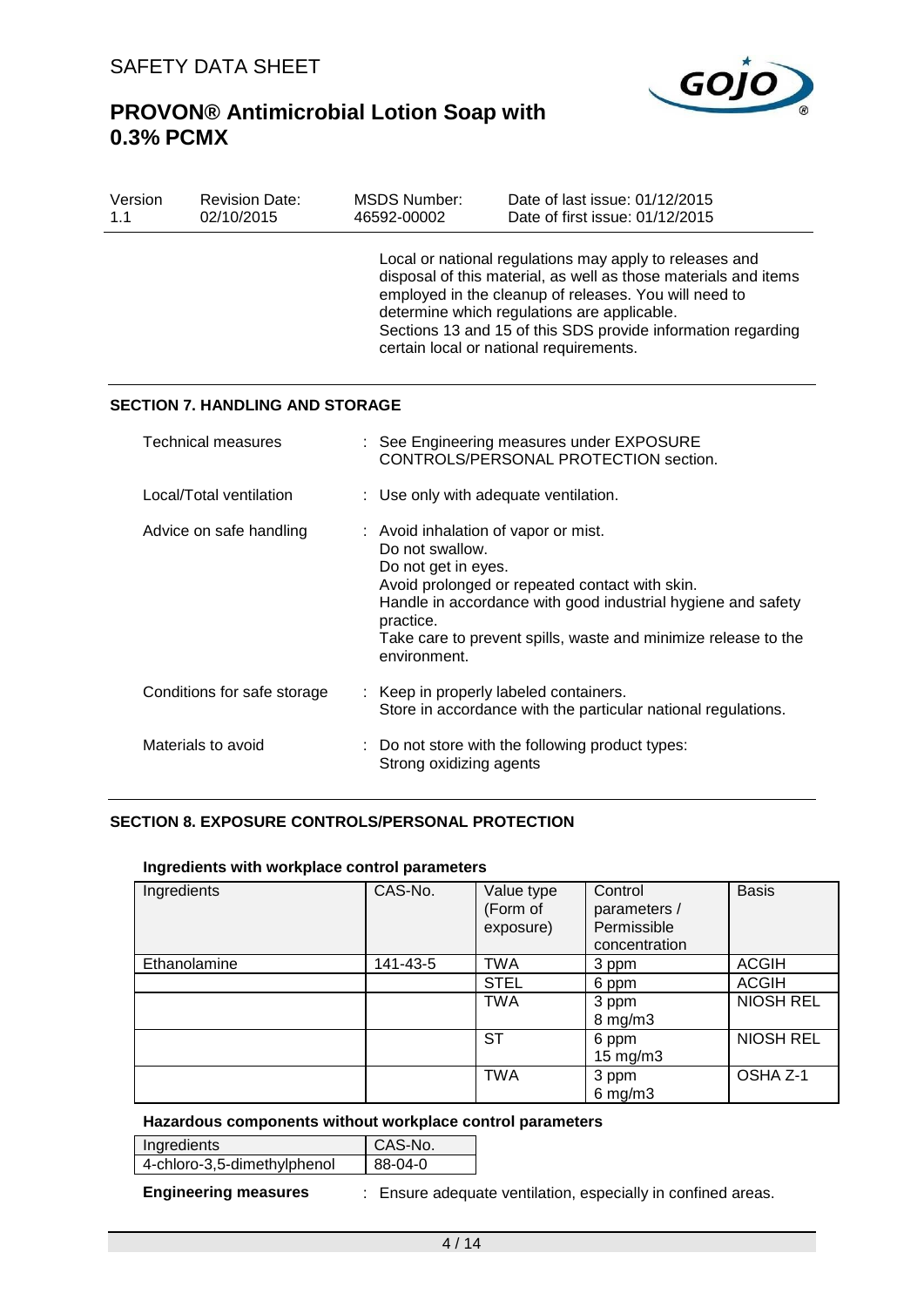

| Version<br>1.1                                                                                    | <b>Revision Date:</b><br>02/10/2015    | <b>MSDS Number:</b><br>46592-00002                                                                                                                                                                                                                                                                                                            | Date of last issue: 01/12/2015<br>Date of first issue: 01/12/2015                  |  |
|---------------------------------------------------------------------------------------------------|----------------------------------------|-----------------------------------------------------------------------------------------------------------------------------------------------------------------------------------------------------------------------------------------------------------------------------------------------------------------------------------------------|------------------------------------------------------------------------------------|--|
|                                                                                                   |                                        | Local or national regulations may apply to releases and<br>disposal of this material, as well as those materials and items<br>employed in the cleanup of releases. You will need to<br>determine which regulations are applicable.<br>Sections 13 and 15 of this SDS provide information regarding<br>certain local or national requirements. |                                                                                    |  |
|                                                                                                   | <b>SECTION 7. HANDLING AND STORAGE</b> |                                                                                                                                                                                                                                                                                                                                               |                                                                                    |  |
|                                                                                                   | Technical measures                     |                                                                                                                                                                                                                                                                                                                                               | : See Engineering measures under EXPOSURE<br>CONTROLS/PERSONAL PROTECTION section. |  |
| Local/Total ventilation                                                                           |                                        | : Use only with adequate ventilation.                                                                                                                                                                                                                                                                                                         |                                                                                    |  |
| Advice on safe handling                                                                           |                                        | : Avoid inhalation of vapor or mist.<br>Do not swallow.<br>Do not get in eyes.<br>Avoid prolonged or repeated contact with skin.<br>Handle in accordance with good industrial hygiene and safety<br>practice.<br>Take care to prevent spills, waste and minimize release to the<br>environment.                                               |                                                                                    |  |
| Conditions for safe storage<br>Keep in properly labeled containers.                               |                                        | Store in accordance with the particular national regulations.                                                                                                                                                                                                                                                                                 |                                                                                    |  |
| Materials to avoid<br>: Do not store with the following product types:<br>Strong oxidizing agents |                                        |                                                                                                                                                                                                                                                                                                                                               |                                                                                    |  |

## **SECTION 8. EXPOSURE CONTROLS/PERSONAL PROTECTION**

#### **Ingredients with workplace control parameters**

| Ingredients  | CAS-No.  | Value type<br>(Form of<br>exposure) | Control<br>parameters /<br>Permissible<br>concentration | <b>Basis</b>     |
|--------------|----------|-------------------------------------|---------------------------------------------------------|------------------|
| Ethanolamine | 141-43-5 | <b>TWA</b>                          | 3 ppm                                                   | <b>ACGIH</b>     |
|              |          | <b>STEL</b>                         | 6 ppm                                                   | <b>ACGIH</b>     |
|              |          | <b>TWA</b>                          | 3 ppm<br>$8 \text{ mg/m}$ 3                             | <b>NIOSH REL</b> |
|              |          | <b>ST</b>                           | 6 ppm<br>$15 \text{ mg/m}$                              | <b>NIOSH REL</b> |
|              |          | <b>TWA</b>                          | 3 ppm<br>$6$ mg/m $3$                                   | OSHA Z-1         |

#### **Hazardous components without workplace control parameters**

| Ingredients                 | CAS-No. |
|-----------------------------|---------|
| 4-chloro-3,5-dimethylphenol | 88-04-0 |

**Engineering measures** : Ensure adequate ventilation, especially in confined areas.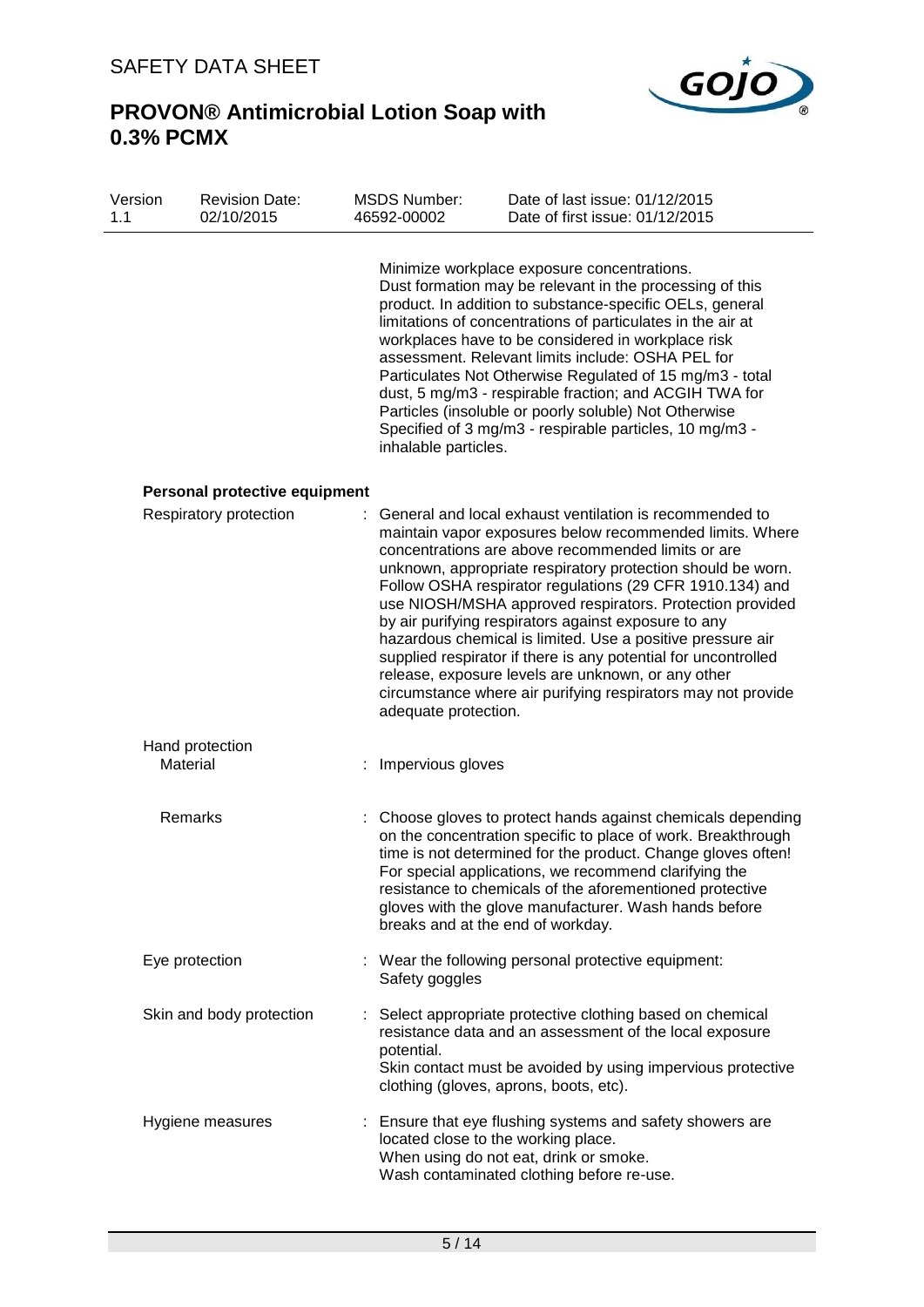

| Version<br>1.1 | <b>Revision Date:</b><br>02/10/2015 | <b>MSDS Number:</b><br>46592-00002 | Date of last issue: 01/12/2015<br>Date of first issue: 01/12/2015                                                                                                                                                                                                                                                                                                                                                                                                                                                                                                                                                                                                              |
|----------------|-------------------------------------|------------------------------------|--------------------------------------------------------------------------------------------------------------------------------------------------------------------------------------------------------------------------------------------------------------------------------------------------------------------------------------------------------------------------------------------------------------------------------------------------------------------------------------------------------------------------------------------------------------------------------------------------------------------------------------------------------------------------------|
|                |                                     | inhalable particles.               | Minimize workplace exposure concentrations.<br>Dust formation may be relevant in the processing of this<br>product. In addition to substance-specific OELs, general<br>limitations of concentrations of particulates in the air at<br>workplaces have to be considered in workplace risk<br>assessment. Relevant limits include: OSHA PEL for<br>Particulates Not Otherwise Regulated of 15 mg/m3 - total<br>dust, 5 mg/m3 - respirable fraction; and ACGIH TWA for<br>Particles (insoluble or poorly soluble) Not Otherwise<br>Specified of 3 mg/m3 - respirable particles, 10 mg/m3 -                                                                                        |
|                | Personal protective equipment       |                                    |                                                                                                                                                                                                                                                                                                                                                                                                                                                                                                                                                                                                                                                                                |
|                | Respiratory protection              | adequate protection.               | General and local exhaust ventilation is recommended to<br>maintain vapor exposures below recommended limits. Where<br>concentrations are above recommended limits or are<br>unknown, appropriate respiratory protection should be worn.<br>Follow OSHA respirator regulations (29 CFR 1910.134) and<br>use NIOSH/MSHA approved respirators. Protection provided<br>by air purifying respirators against exposure to any<br>hazardous chemical is limited. Use a positive pressure air<br>supplied respirator if there is any potential for uncontrolled<br>release, exposure levels are unknown, or any other<br>circumstance where air purifying respirators may not provide |
|                | Hand protection<br>Material         | Impervious gloves                  |                                                                                                                                                                                                                                                                                                                                                                                                                                                                                                                                                                                                                                                                                |
|                | Remarks                             |                                    | : Choose gloves to protect hands against chemicals depending<br>on the concentration specific to place of work. Breakthrough<br>time is not determined for the product. Change gloves often!<br>For special applications, we recommend clarifying the<br>resistance to chemicals of the aforementioned protective<br>gloves with the glove manufacturer. Wash hands before<br>breaks and at the end of workday.                                                                                                                                                                                                                                                                |
|                | Eye protection                      | Safety goggles                     | : Wear the following personal protective equipment:                                                                                                                                                                                                                                                                                                                                                                                                                                                                                                                                                                                                                            |
|                | Skin and body protection            | potential.                         | : Select appropriate protective clothing based on chemical<br>resistance data and an assessment of the local exposure<br>Skin contact must be avoided by using impervious protective<br>clothing (gloves, aprons, boots, etc).                                                                                                                                                                                                                                                                                                                                                                                                                                                 |
|                | Hygiene measures                    |                                    | : Ensure that eye flushing systems and safety showers are<br>located close to the working place.<br>When using do not eat, drink or smoke.<br>Wash contaminated clothing before re-use.                                                                                                                                                                                                                                                                                                                                                                                                                                                                                        |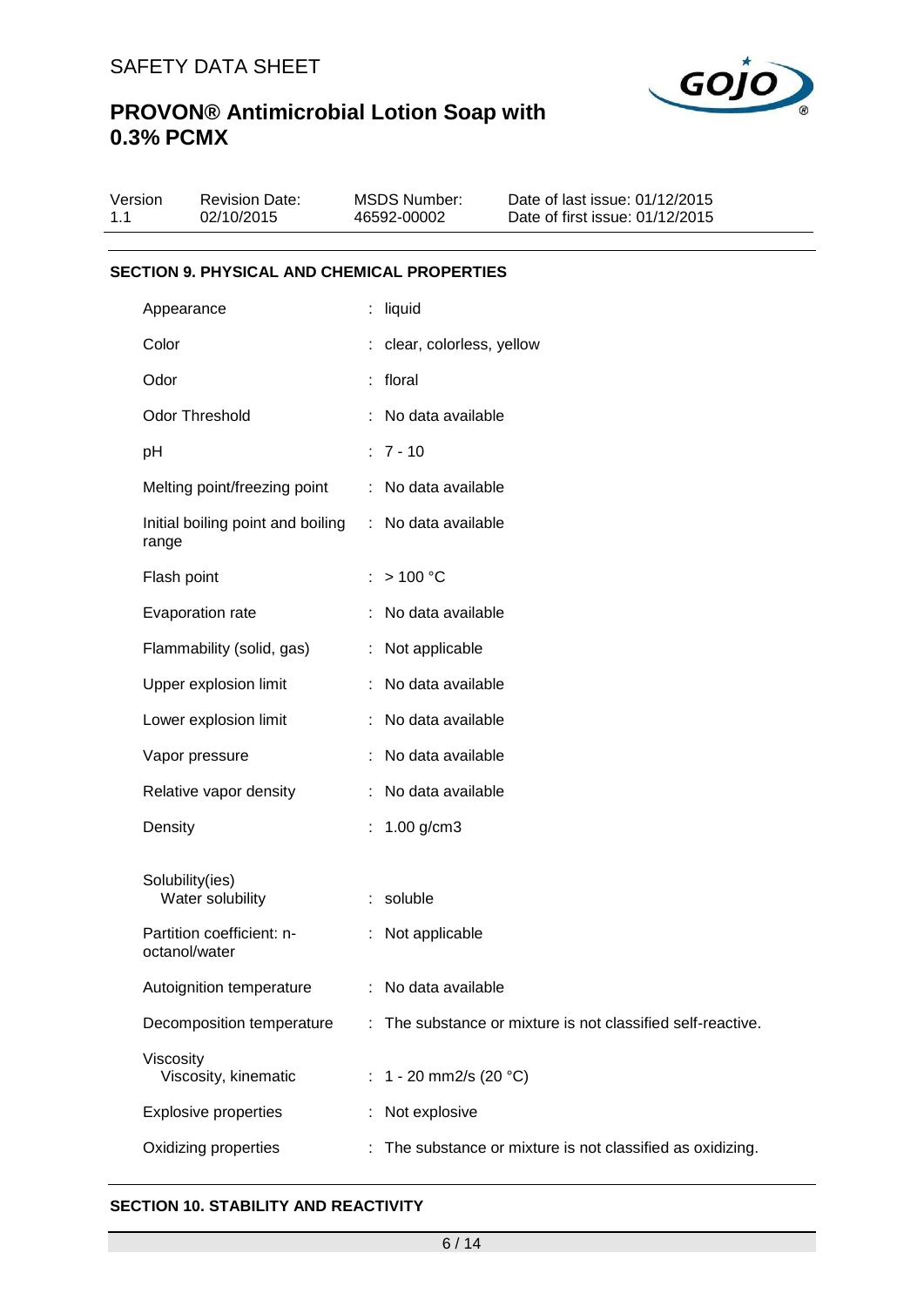

| Version<br>1.1 |                                                    | <b>Revision Date:</b><br>02/10/2015 |          | <b>MSDS Number:</b><br>46592-00002 | Date of last issue: 01/12/2015<br>Date of first issue: 01/12/2015 |  |  |  |
|----------------|----------------------------------------------------|-------------------------------------|----------|------------------------------------|-------------------------------------------------------------------|--|--|--|
|                |                                                    |                                     |          |                                    |                                                                   |  |  |  |
|                | <b>SECTION 9. PHYSICAL AND CHEMICAL PROPERTIES</b> |                                     |          |                                    |                                                                   |  |  |  |
| Appearance     |                                                    |                                     | : liquid |                                    |                                                                   |  |  |  |
|                | Color                                              |                                     |          | : clear, colorless, yellow         |                                                                   |  |  |  |
| Odor           |                                                    |                                     | : floral |                                    |                                                                   |  |  |  |
|                |                                                    | <b>Odor Threshold</b>               |          | No data available                  |                                                                   |  |  |  |
|                | pH                                                 |                                     |          | $: 7 - 10$                         |                                                                   |  |  |  |
|                |                                                    | Melting point/freezing point        |          | No data available                  |                                                                   |  |  |  |
|                | range                                              | Initial boiling point and boiling   |          | : No data available                |                                                                   |  |  |  |
|                | Flash point                                        |                                     |          | >100 °C                            |                                                                   |  |  |  |
|                |                                                    | Evaporation rate                    |          | No data available                  |                                                                   |  |  |  |
|                |                                                    | Flammability (solid, gas)           |          | : Not applicable                   |                                                                   |  |  |  |
|                | Upper explosion limit                              |                                     |          | No data available                  |                                                                   |  |  |  |
|                | Lower explosion limit                              |                                     |          | No data available                  |                                                                   |  |  |  |
|                |                                                    | Vapor pressure                      |          | No data available                  |                                                                   |  |  |  |
|                |                                                    | Relative vapor density              |          | No data available                  |                                                                   |  |  |  |
|                | Density                                            |                                     |          | $1.00$ g/cm3                       |                                                                   |  |  |  |
|                | Solubility(ies)                                    | Water solubility                    |          | soluble                            |                                                                   |  |  |  |
|                | octanol/water                                      | Partition coefficient: n-           |          | Not applicable                     |                                                                   |  |  |  |
|                |                                                    | Autoignition temperature            |          | No data available                  |                                                                   |  |  |  |
|                |                                                    | Decomposition temperature           |          |                                    | The substance or mixture is not classified self-reactive.         |  |  |  |
|                | Viscosity                                          | Viscosity, kinematic                |          | : $1 - 20$ mm2/s (20 °C)           |                                                                   |  |  |  |
|                |                                                    | <b>Explosive properties</b>         |          | Not explosive                      |                                                                   |  |  |  |
|                |                                                    | Oxidizing properties                |          |                                    | The substance or mixture is not classified as oxidizing.          |  |  |  |

#### **SECTION 10. STABILITY AND REACTIVITY**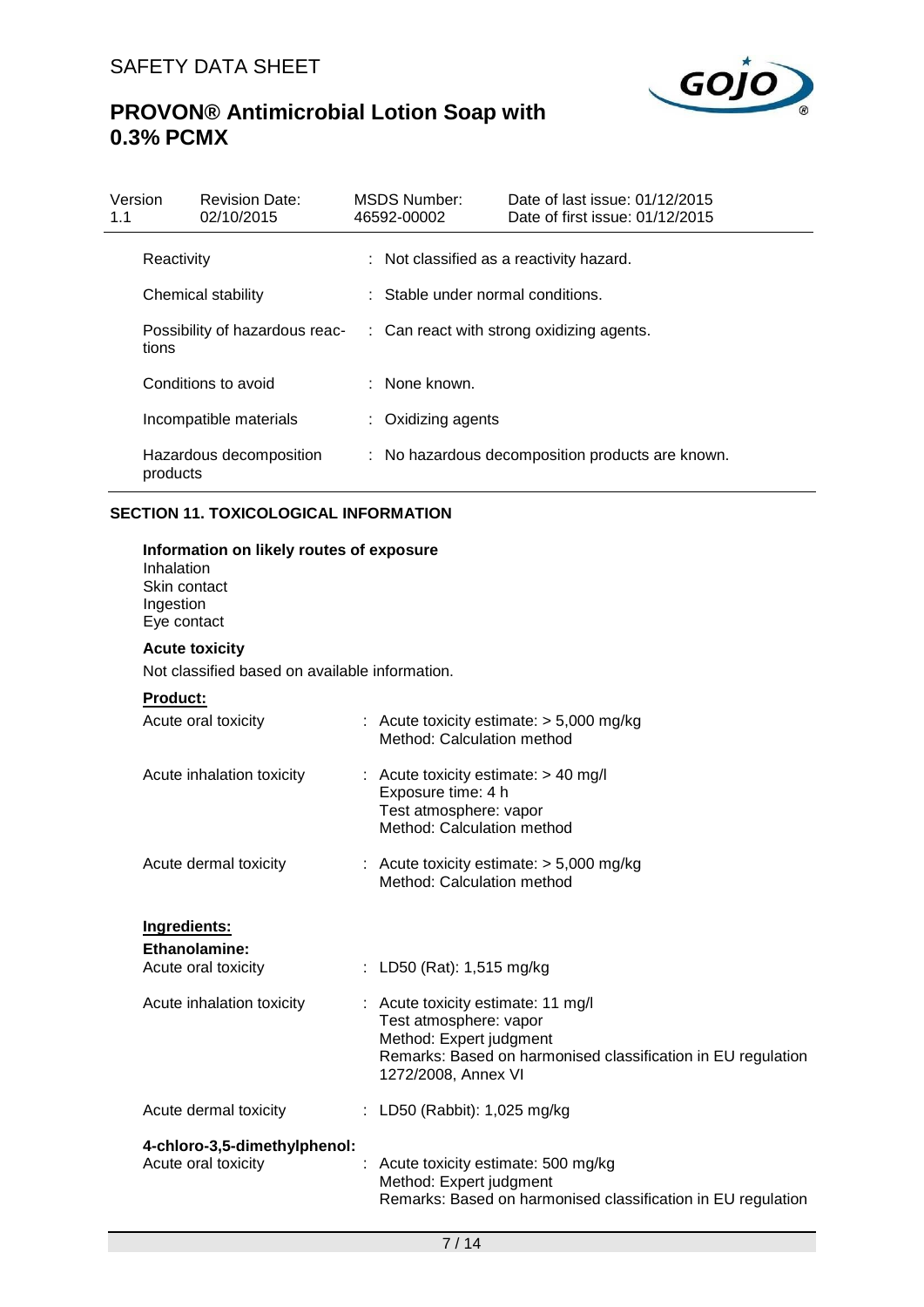

| Version<br>1.1 |            | <b>Revision Date:</b><br>02/10/2015 | MSDS Number:<br>46592-00002       | Date of last issue: 01/12/2015<br>Date of first issue: 01/12/2015 |
|----------------|------------|-------------------------------------|-----------------------------------|-------------------------------------------------------------------|
|                | Reactivity |                                     |                                   | : Not classified as a reactivity hazard.                          |
|                |            | Chemical stability                  | : Stable under normal conditions. |                                                                   |
|                | tions      | Possibility of hazardous reac-      |                                   | : Can react with strong oxidizing agents.                         |
|                |            | Conditions to avoid                 | : None known.                     |                                                                   |
|                |            | Incompatible materials              | : Oxidizing agents                |                                                                   |
|                | products   | Hazardous decomposition             |                                   | : No hazardous decomposition products are known.                  |

### **SECTION 11. TOXICOLOGICAL INFORMATION**

| Information on likely routes of exposure<br>Inhalation<br>Skin contact<br>Ingestion<br>Eye contact |  |                                                                                                                                                                                |  |  |
|----------------------------------------------------------------------------------------------------|--|--------------------------------------------------------------------------------------------------------------------------------------------------------------------------------|--|--|
| <b>Acute toxicity</b>                                                                              |  |                                                                                                                                                                                |  |  |
| Not classified based on available information.                                                     |  |                                                                                                                                                                                |  |  |
| <b>Product:</b>                                                                                    |  |                                                                                                                                                                                |  |  |
| Acute oral toxicity                                                                                |  | : Acute toxicity estimate: $> 5,000$ mg/kg<br>Method: Calculation method                                                                                                       |  |  |
| Acute inhalation toxicity                                                                          |  | Acute toxicity estimate: > 40 mg/l<br>Exposure time: 4 h<br>Test atmosphere: vapor<br>Method: Calculation method                                                               |  |  |
| Acute dermal toxicity                                                                              |  | : Acute toxicity estimate: $> 5,000$ mg/kg<br>Method: Calculation method                                                                                                       |  |  |
| Ingredients:                                                                                       |  |                                                                                                                                                                                |  |  |
| Ethanolamine:                                                                                      |  |                                                                                                                                                                                |  |  |
| Acute oral toxicity                                                                                |  | : LD50 (Rat): 1,515 mg/kg                                                                                                                                                      |  |  |
| Acute inhalation toxicity                                                                          |  | : Acute toxicity estimate: 11 mg/l<br>Test atmosphere: vapor<br>Method: Expert judgment<br>Remarks: Based on harmonised classification in EU regulation<br>1272/2008, Annex VI |  |  |
| Acute dermal toxicity                                                                              |  | : LD50 (Rabbit): 1,025 mg/kg                                                                                                                                                   |  |  |
| 4-chloro-3,5-dimethylphenol:<br>Acute oral toxicity                                                |  | Acute toxicity estimate: 500 mg/kg<br>Method: Expert judgment<br>Remarks: Based on harmonised classification in EU regulation                                                  |  |  |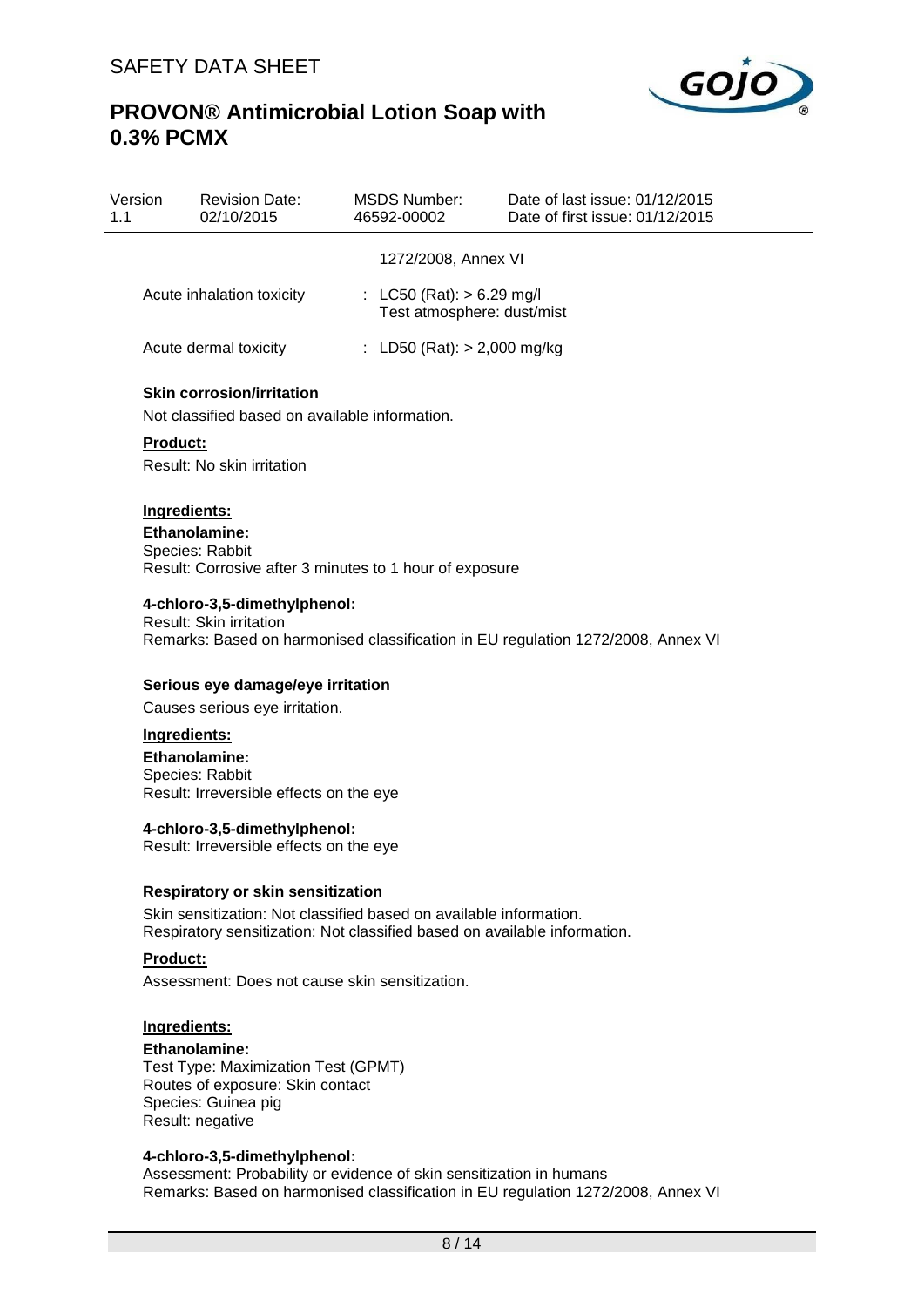

| Version<br>1.1 | <b>Revision Date:</b><br>02/10/2015                                                | MSDS Number:<br>46592-00002                               | Date of last issue: 01/12/2015<br>Date of first issue: 01/12/2015 |
|----------------|------------------------------------------------------------------------------------|-----------------------------------------------------------|-------------------------------------------------------------------|
|                |                                                                                    | 1272/2008, Annex VI                                       |                                                                   |
|                | Acute inhalation toxicity                                                          | : LC50 (Rat): $> 6.29$ mg/l<br>Test atmosphere: dust/mist |                                                                   |
|                | Acute dermal toxicity                                                              | : LD50 (Rat): $> 2,000$ mg/kg                             |                                                                   |
|                | <b>Skin corrosion/irritation</b><br>Not classified based on available information. |                                                           |                                                                   |
|                | <b>Product:</b>                                                                    |                                                           |                                                                   |
|                | Result: No skin irritation                                                         |                                                           |                                                                   |
|                |                                                                                    |                                                           |                                                                   |

#### **Ingredients: Ethanolamine:** Species: Rabbit Result: Corrosive after 3 minutes to 1 hour of exposure

## **4-chloro-3,5-dimethylphenol:**

Result: Skin irritation Remarks: Based on harmonised classification in EU regulation 1272/2008, Annex VI

#### **Serious eye damage/eye irritation**

Causes serious eye irritation.

#### **Ingredients:**

**Ethanolamine:** Species: Rabbit Result: Irreversible effects on the eye

#### **4-chloro-3,5-dimethylphenol:**

Result: Irreversible effects on the eye

#### **Respiratory or skin sensitization**

Skin sensitization: Not classified based on available information. Respiratory sensitization: Not classified based on available information.

## **Product:**

Assessment: Does not cause skin sensitization.

#### **Ingredients:**

**Ethanolamine:** Test Type: Maximization Test (GPMT) Routes of exposure: Skin contact Species: Guinea pig Result: negative

#### **4-chloro-3,5-dimethylphenol:**

Assessment: Probability or evidence of skin sensitization in humans Remarks: Based on harmonised classification in EU regulation 1272/2008, Annex VI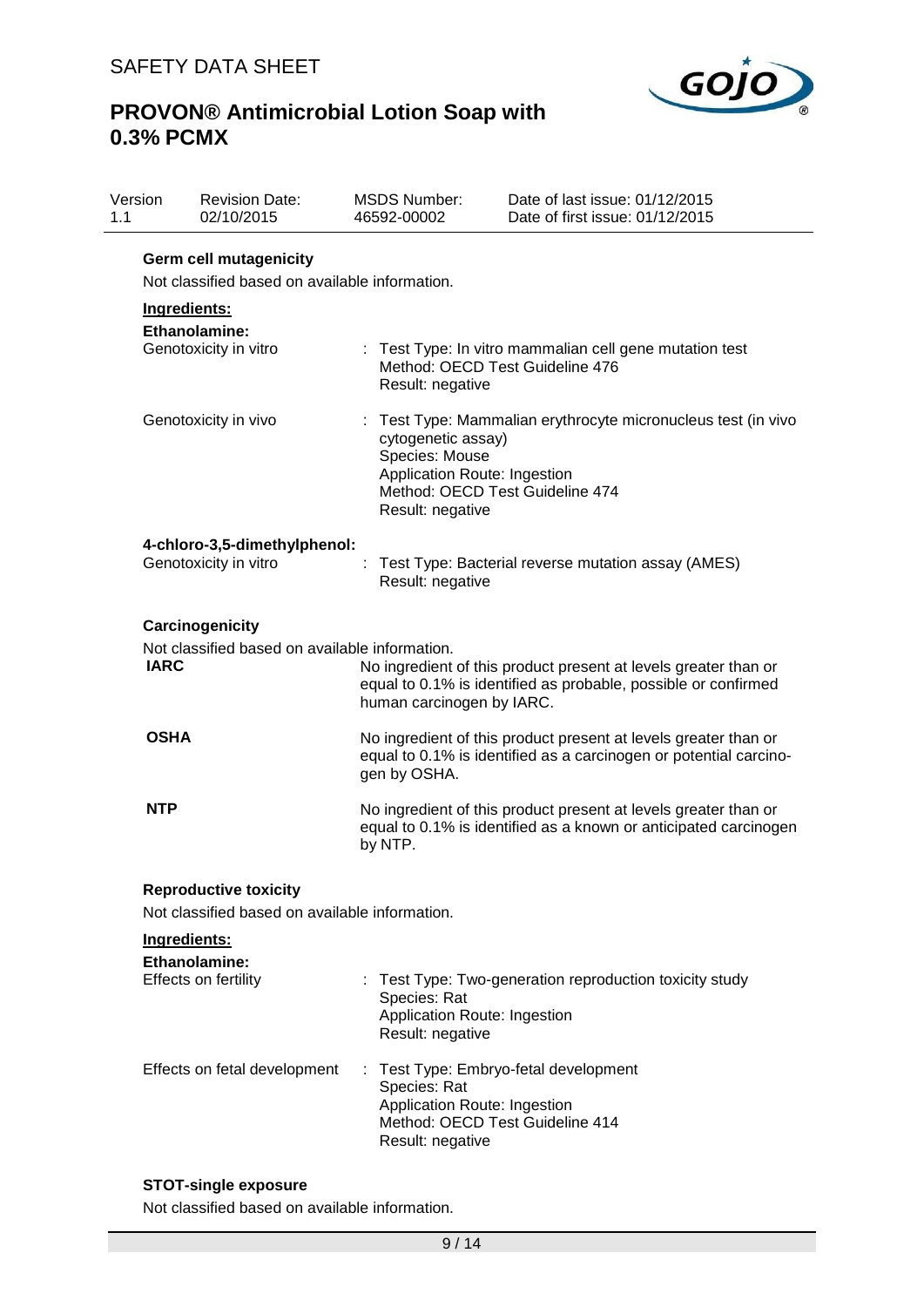

| Version<br>1.1 | <b>Revision Date:</b><br>02/10/2015                           | <b>MSDS Number:</b><br>46592-00002                                                                                                           | Date of last issue: 01/12/2015<br>Date of first issue: 01/12/2015                                                                    |  |  |  |
|----------------|---------------------------------------------------------------|----------------------------------------------------------------------------------------------------------------------------------------------|--------------------------------------------------------------------------------------------------------------------------------------|--|--|--|
|                | <b>Germ cell mutagenicity</b>                                 |                                                                                                                                              |                                                                                                                                      |  |  |  |
|                | Not classified based on available information.                |                                                                                                                                              |                                                                                                                                      |  |  |  |
|                | Ingredients:<br>Ethanolamine:<br>Genotoxicity in vitro        | Result: negative                                                                                                                             | : Test Type: In vitro mammalian cell gene mutation test<br>Method: OECD Test Guideline 476                                           |  |  |  |
|                | Genotoxicity in vivo                                          | cytogenetic assay)<br>Species: Mouse<br>Application Route: Ingestion<br>Method: OECD Test Guideline 474<br>Result: negative                  | : Test Type: Mammalian erythrocyte micronucleus test (in vivo                                                                        |  |  |  |
|                | 4-chloro-3,5-dimethylphenol:<br>Genotoxicity in vitro         | Result: negative                                                                                                                             | Test Type: Bacterial reverse mutation assay (AMES)                                                                                   |  |  |  |
|                | Carcinogenicity                                               |                                                                                                                                              |                                                                                                                                      |  |  |  |
|                | Not classified based on available information.<br><b>IARC</b> | human carcinogen by IARC.                                                                                                                    | No ingredient of this product present at levels greater than or<br>equal to 0.1% is identified as probable, possible or confirmed    |  |  |  |
|                | <b>OSHA</b>                                                   | gen by OSHA.                                                                                                                                 | No ingredient of this product present at levels greater than or<br>equal to 0.1% is identified as a carcinogen or potential carcino- |  |  |  |
|                | <b>NTP</b>                                                    | by NTP.                                                                                                                                      | No ingredient of this product present at levels greater than or<br>equal to 0.1% is identified as a known or anticipated carcinogen  |  |  |  |
|                | <b>Reproductive toxicity</b>                                  |                                                                                                                                              |                                                                                                                                      |  |  |  |
|                | Not classified based on available information.                |                                                                                                                                              |                                                                                                                                      |  |  |  |
|                | Ingredients:                                                  |                                                                                                                                              |                                                                                                                                      |  |  |  |
|                | Ethanolamine:<br>Effects on fertility                         | Species: Rat<br>Application Route: Ingestion<br>Result: negative                                                                             | Test Type: Two-generation reproduction toxicity study                                                                                |  |  |  |
|                | Effects on fetal development                                  | : Test Type: Embryo-fetal development<br>Species: Rat<br>Application Route: Ingestion<br>Method: OECD Test Guideline 414<br>Result: negative |                                                                                                                                      |  |  |  |

## **STOT-single exposure**

Not classified based on available information.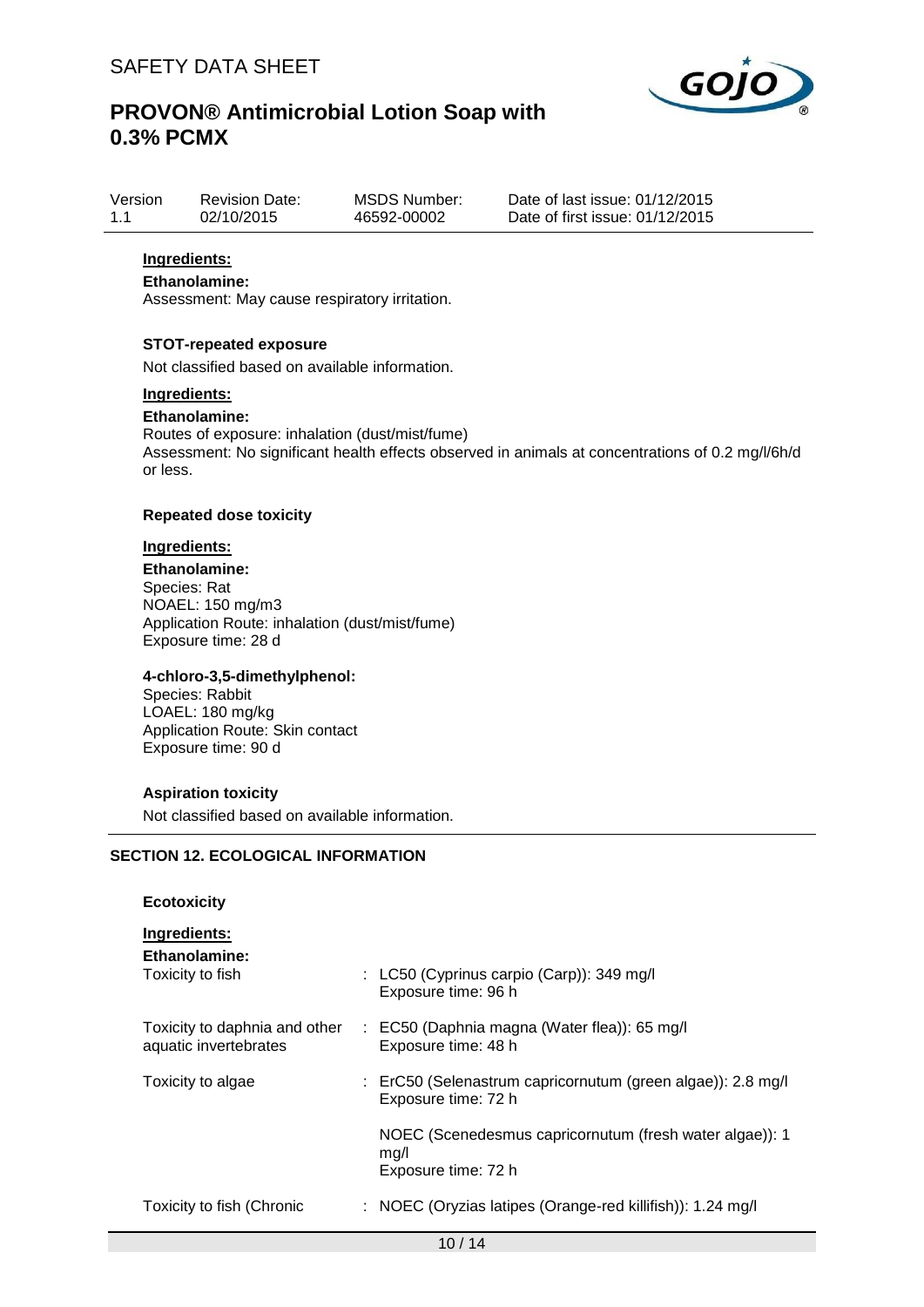

| Version | <b>Revision Date:</b> | <b>MSDS Number:</b> | Date of |
|---------|-----------------------|---------------------|---------|
| 1.1     | 02/10/2015            | 46592-00002         | Date of |

last issue: 01/12/2015  $first$  issue:  $01/12/2015$ 

## **Ingredients:**

### **Ethanolamine:**

Assessment: May cause respiratory irritation.

#### **STOT-repeated exposure**

Not classified based on available information.

#### **Ingredients:**

### **Ethanolamine:**

Routes of exposure: inhalation (dust/mist/fume) Assessment: No significant health effects observed in animals at concentrations of 0.2 mg/l/6h/d or less.

#### **Repeated dose toxicity**

#### **Ingredients:**

**Ethanolamine:** Species: Rat NOAEL: 150 mg/m3 Application Route: inhalation (dust/mist/fume) Exposure time: 28 d

#### **4-chloro-3,5-dimethylphenol:**

Species: Rabbit LOAEL: 180 mg/kg Application Route: Skin contact Exposure time: 90 d

#### **Aspiration toxicity**

Not classified based on available information.

## **SECTION 12. ECOLOGICAL INFORMATION**

#### **Ecotoxicity**

**Ingredients:**

**Ethanolamine:**

| Toxicity to fish                                       | : LC50 (Cyprinus carpio (Carp)): 349 mg/l<br>Exposure time: 96 h                       |
|--------------------------------------------------------|----------------------------------------------------------------------------------------|
| Toxicity to daphnia and other<br>aquatic invertebrates | : EC50 (Daphnia magna (Water flea)): 65 mg/l<br>Exposure time: 48 h                    |
| Toxicity to algae                                      | : ErC50 (Selenastrum capricornutum (green algae)): 2.8 mg/l<br>Exposure time: 72 h     |
|                                                        | NOEC (Scenedesmus capricornutum (fresh water algae)): 1<br>mq/l<br>Exposure time: 72 h |
| Toxicity to fish (Chronic                              | : NOEC (Oryzias latipes (Orange-red killifish)): 1.24 mg/l                             |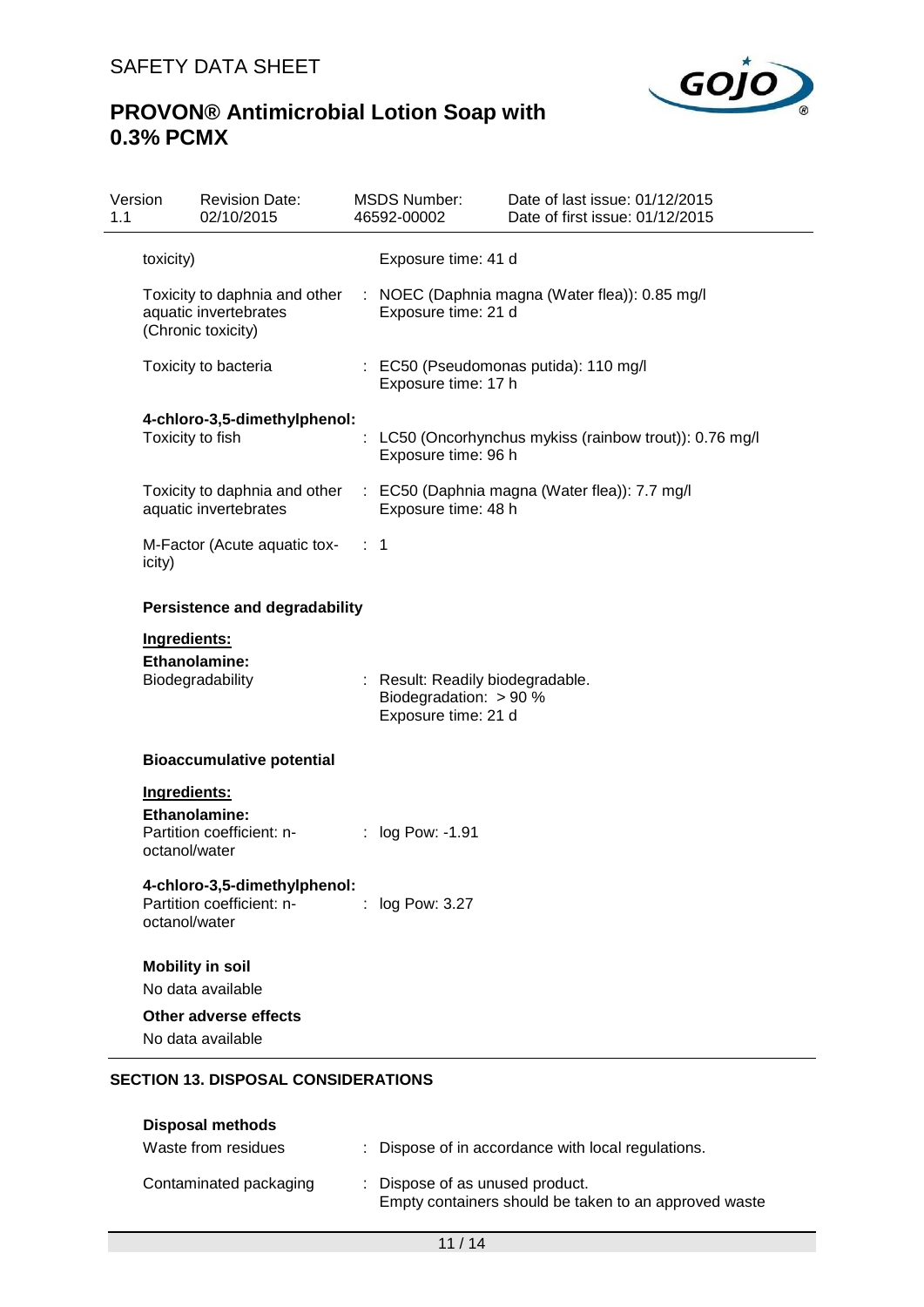

| Version<br>1.1 | <b>Revision Date:</b><br>02/10/2015                       |                | <b>MSDS Number:</b><br>46592-00002                                                | Date of last issue: 01/12/2015<br>Date of first issue: 01/12/2015            |
|----------------|-----------------------------------------------------------|----------------|-----------------------------------------------------------------------------------|------------------------------------------------------------------------------|
| toxicity)      |                                                           |                | Exposure time: 41 d                                                               |                                                                              |
|                | aquatic invertebrates<br>(Chronic toxicity)               |                | Exposure time: 21 d                                                               | Toxicity to daphnia and other : NOEC (Daphnia magna (Water flea)): 0.85 mg/l |
|                | Toxicity to bacteria                                      |                | Exposure time: 17 h                                                               | : EC50 (Pseudomonas putida): 110 mg/l                                        |
|                | 4-chloro-3,5-dimethylphenol:<br>Toxicity to fish          |                | Exposure time: 96 h                                                               | LC50 (Oncorhynchus mykiss (rainbow trout)): 0.76 mg/l                        |
|                | Toxicity to daphnia and other<br>aquatic invertebrates    |                | Exposure time: 48 h                                                               | : EC50 (Daphnia magna (Water flea)): 7.7 mg/l                                |
| icity)         | M-Factor (Acute aquatic tox-                              | $\therefore$ 1 |                                                                                   |                                                                              |
|                | <b>Persistence and degradability</b>                      |                |                                                                                   |                                                                              |
| Ingredients:   |                                                           |                |                                                                                   |                                                                              |
|                | <b>Ethanolamine:</b><br>Biodegradability                  |                | : Result: Readily biodegradable.<br>Biodegradation: > 90 %<br>Exposure time: 21 d |                                                                              |
|                | <b>Bioaccumulative potential</b>                          |                |                                                                                   |                                                                              |
| Ingredients:   |                                                           |                |                                                                                   |                                                                              |
| octanol/water  | Ethanolamine:<br>Partition coefficient: n-                |                | log Pow: -1.91                                                                    |                                                                              |
| octanol/water  | 4-chloro-3,5-dimethylphenol:<br>Partition coefficient: n- |                | : log Pow: 3.27                                                                   |                                                                              |
|                | <b>Mobility in soil</b><br>No data available              |                |                                                                                   |                                                                              |
|                | Other adverse effects                                     |                |                                                                                   |                                                                              |
|                | No data available                                         |                |                                                                                   |                                                                              |
|                | <b>SECTION 13. DISPOSAL CONSIDERATIONS</b>                |                |                                                                                   |                                                                              |

| Disposal methods       |                                                                                          |
|------------------------|------------------------------------------------------------------------------------------|
| Waste from residues    | : Dispose of in accordance with local regulations.                                       |
| Contaminated packaging | : Dispose of as unused product.<br>Empty containers should be taken to an approved waste |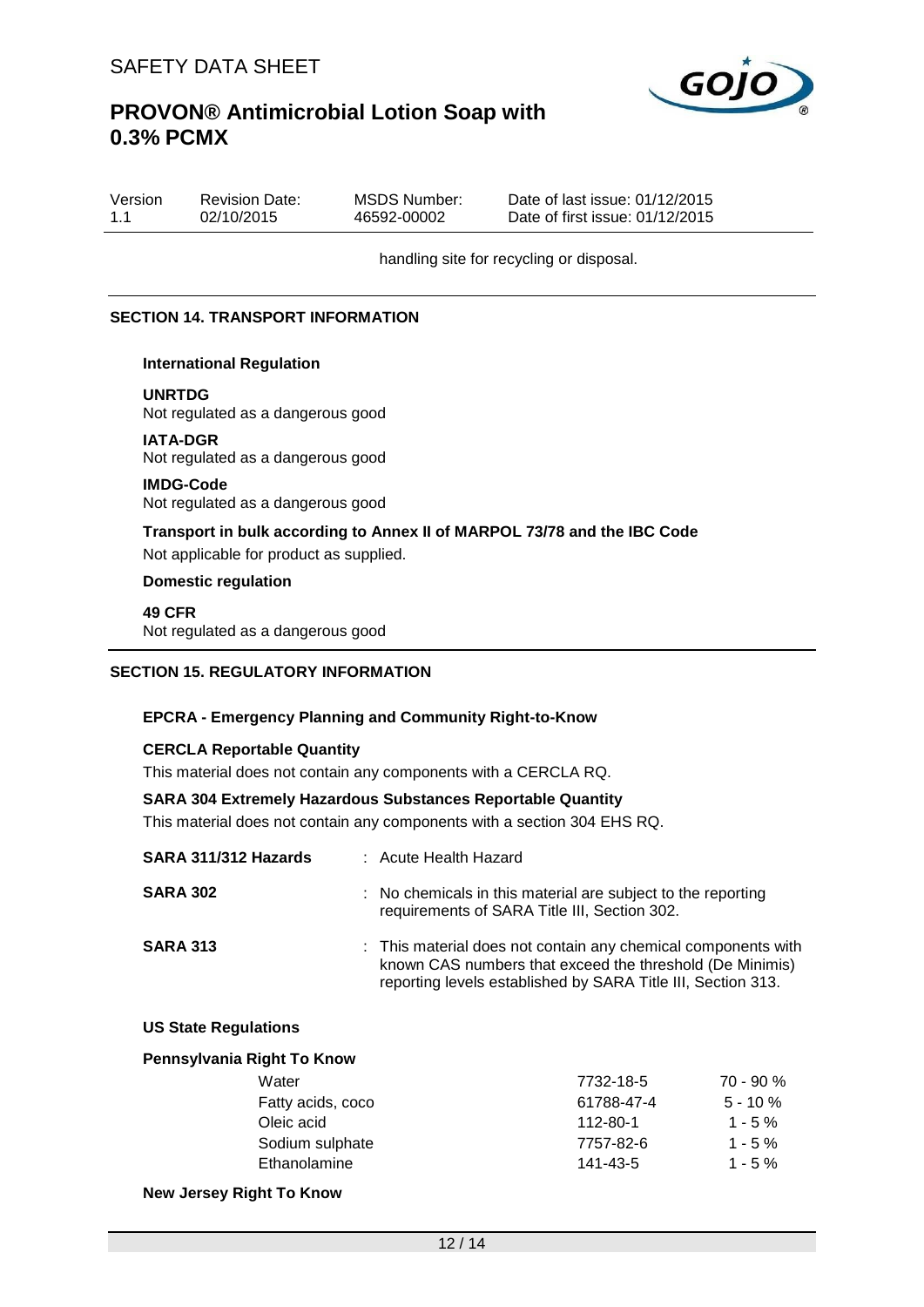

| Version | <b>Revision Date:</b> | MSDS Number: | Date of last issue: 01/12/2015  |
|---------|-----------------------|--------------|---------------------------------|
| 1.1     | 02/10/2015            | 46592-00002  | Date of first issue: 01/12/2015 |

handling site for recycling or disposal.

#### **SECTION 14. TRANSPORT INFORMATION**

#### **International Regulation**

**UNRTDG**

Not regulated as a dangerous good

#### **IATA-DGR**

Not regulated as a dangerous good

#### **IMDG-Code**

Not regulated as a dangerous good

## **Transport in bulk according to Annex II of MARPOL 73/78 and the IBC Code**

Not applicable for product as supplied.

#### **Domestic regulation**

**49 CFR** Not regulated as a dangerous good

#### **SECTION 15. REGULATORY INFORMATION**

#### **EPCRA - Emergency Planning and Community Right-to-Know**

#### **CERCLA Reportable Quantity**

This material does not contain any components with a CERCLA RQ.

#### **SARA 304 Extremely Hazardous Substances Reportable Quantity**

This material does not contain any components with a section 304 EHS RQ.

| SARA 311/312 Hazards         | : Acute Health Hazard                                                                                                                                                                     |  |
|------------------------------|-------------------------------------------------------------------------------------------------------------------------------------------------------------------------------------------|--|
| <b>SARA 302</b>              | : No chemicals in this material are subject to the reporting<br>requirements of SARA Title III, Section 302.                                                                              |  |
| <b>SARA 313</b>              | : This material does not contain any chemical components with<br>known CAS numbers that exceed the threshold (De Minimis)<br>reporting levels established by SARA Title III, Section 313. |  |
| <b>IIC Ctate Demulations</b> |                                                                                                                                                                                           |  |

#### **US State Regulations**

| 7732-18-5  | $70 - 90 %$ |
|------------|-------------|
| 61788-47-4 | $5 - 10 \%$ |
| 112-80-1   | $1 - 5 \%$  |
| 7757-82-6  | $1 - 5 \%$  |
| 141-43-5   | $1 - 5 \%$  |
|            |             |

#### **New Jersey Right To Know**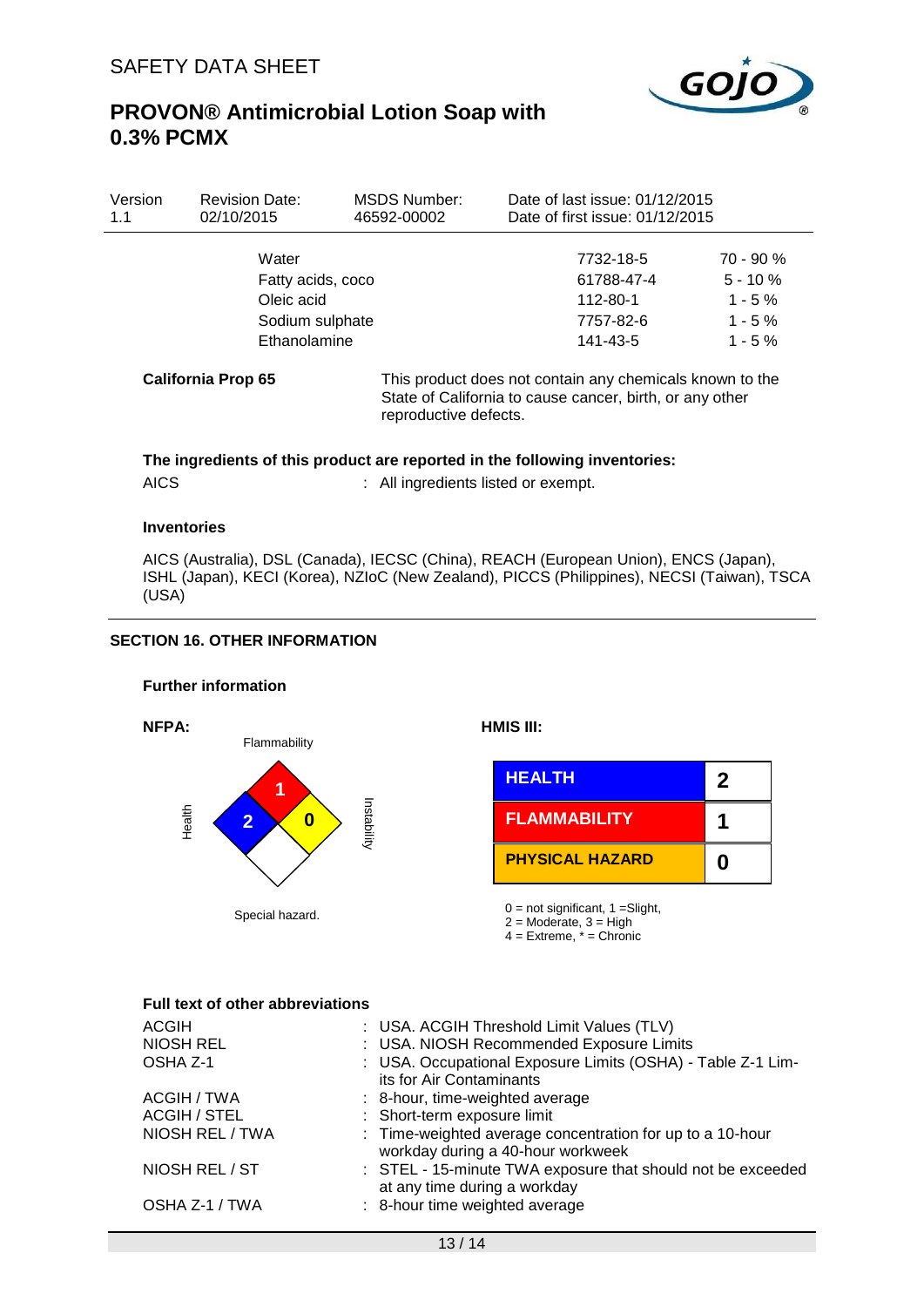

**1**

**2**

**0**

## **PROVON® Antimicrobial Lotion Soap with 0.3% PCMX**

| Version<br>1.1 | <b>Revision Date:</b><br>02/10/2015 | <b>MSDS Number:</b><br>46592-00002 | Date of last issue: 01/12/2015<br>Date of first issue: 01/12/2015                                                    |                          |
|----------------|-------------------------------------|------------------------------------|----------------------------------------------------------------------------------------------------------------------|--------------------------|
|                | Water                               |                                    | 7732-18-5<br>61788-47-4                                                                                              | $70 - 90 %$<br>$5 - 10%$ |
|                | Fatty acids, coco<br>Oleic acid     |                                    | 112-80-1                                                                                                             | $1 - 5 \%$               |
|                | Sodium sulphate<br>Ethanolamine     |                                    | 7757-82-6<br>141-43-5                                                                                                | $1 - 5 \%$<br>$1 - 5\%$  |
|                | <b>California Prop 65</b>           | reproductive defects.              | This product does not contain any chemicals known to the<br>State of California to cause cancer, birth, or any other |                          |

#### **The ingredients of this product are reported in the following inventories:**

AICS : All ingredients listed or exempt.

#### **Inventories**

AICS (Australia), DSL (Canada), IECSC (China), REACH (European Union), ENCS (Japan), ISHL (Japan), KECI (Korea), NZIoC (New Zealand), PICCS (Philippines), NECSI (Taiwan), TSCA (USA)

### **SECTION 16. OTHER INFORMATION**

#### **Further information**



 $2 =$  Moderate,  $3 =$  High  $4 =$  Extreme,  $* =$  Chronic

#### **Full text of other abbreviations**

| <b>ACGIH</b>        | : USA. ACGIH Threshold Limit Values (TLV)                                                      |
|---------------------|------------------------------------------------------------------------------------------------|
| <b>NIOSH REL</b>    | : USA. NIOSH Recommended Exposure Limits                                                       |
| OSHA Z-1            | : USA. Occupational Exposure Limits (OSHA) - Table Z-1 Lim-<br>its for Air Contaminants        |
| ACGIH / TWA         | : 8-hour, time-weighted average                                                                |
| <b>ACGIH / STEL</b> | : Short-term exposure limit                                                                    |
| NIOSH REL / TWA     | : Time-weighted average concentration for up to a 10-hour<br>workday during a 40-hour workweek |
| NIOSH REL / ST      | : STEL - 15-minute TWA exposure that should not be exceeded<br>at any time during a workday    |
| OSHA Z-1 / TWA      | : 8-hour time weighted average                                                                 |